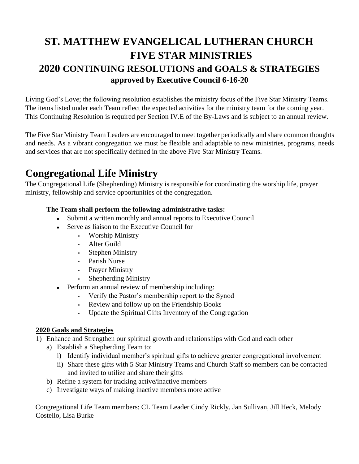# **ST. MATTHEW EVANGELICAL LUTHERAN CHURCH FIVE STAR MINISTRIES 2020 CONTINUING RESOLUTIONS and GOALS & STRATEGIES approved by Executive Council 6-16-20**

Living God's Love; the following resolution establishes the ministry focus of the Five Star Ministry Teams. The items listed under each Team reflect the expected activities for the ministry team for the coming year. This Continuing Resolution is required per Section IV.E of the By-Laws and is subject to an annual review.

The Five Star Ministry Team Leaders are encouraged to meet together periodically and share common thoughts and needs. As a vibrant congregation we must be flexible and adaptable to new ministries, programs, needs and services that are not specifically defined in the above Five Star Ministry Teams.

# **Congregational Life Ministry**

The Congregational Life (Shepherding) Ministry is responsible for coordinating the worship life, prayer ministry, fellowship and service opportunities of the congregation.

#### **The Team shall perform the following administrative tasks:**

- Submit a written monthly and annual reports to Executive Council
- Serve as liaison to the Executive Council for
	- Worship Ministry
	- Alter Guild
	- Stephen Ministry
	- Parish Nurse
	- Prayer Ministry
	- **Shepherding Ministry**
- Perform an annual review of membership including:
	- Verify the Pastor's membership report to the Synod
	- Review and follow up on the Friendship Books
	- Update the Spiritual Gifts Inventory of the Congregation

# **2020 Goals and Strategies**

- 1) Enhance and Strengthen our spiritual growth and relationships with God and each other
- a) Establish a Shepherding Team to:
	- i) Identify individual member's spiritual gifts to achieve greater congregational involvement
	- ii) Share these gifts with 5 Star Ministry Teams and Church Staff so members can be contacted and invited to utilize and share their gifts
	- b) Refine a system for tracking active/inactive members
	- c) Investigate ways of making inactive members more active

Congregational Life Team members: CL Team Leader Cindy Rickly, Jan Sullivan, Jill Heck, Melody Costello, Lisa Burke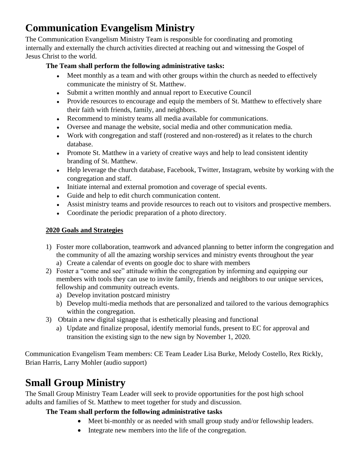# **Communication Evangelism Ministry**

The Communication Evangelism Ministry Team is responsible for coordinating and promoting internally and externally the church activities directed at reaching out and witnessing the Gospel of Jesus Christ to the world.

### **The Team shall perform the following administrative tasks:**

- Meet monthly as a team and with other groups within the church as needed to effectively communicate the ministry of St. Matthew.
- Submit a written monthly and annual report to Executive Council
- Provide resources to encourage and equip the members of St. Matthew to effectively share their faith with friends, family, and neighbors.
- Recommend to ministry teams all media available for communications.
- Oversee and manage the website, social media and other communication media.
- Work with congregation and staff (rostered and non-rostered) as it relates to the church database.
- Promote St. Matthew in a variety of creative ways and help to lead consistent identity branding of St. Matthew.
- Help leverage the church database, Facebook, Twitter, Instagram, website by working with the congregation and staff.
- Initiate internal and external promotion and coverage of special events.
- Guide and help to edit church communication content.
- Assist ministry teams and provide resources to reach out to visitors and prospective members.
- Coordinate the periodic preparation of a photo directory.

### **2020 Goals and Strategies**

- 1) Foster more collaboration, teamwork and advanced planning to better inform the congregation and the community of all the amazing worship services and ministry events throughout the year
	- a) Create a calendar of events on google doc to share with members
- 2) Foster a "come and see" attitude within the congregation by informing and equipping our members with tools they can use to invite family, friends and neighbors to our unique services, fellowship and community outreach events.
	- a) Develop invitation postcard ministry
	- b) Develop multi-media methods that are personalized and tailored to the various demographics within the congregation.
- 3) Obtain a new digital signage that is esthetically pleasing and functional
	- a) Update and finalize proposal, identify memorial funds, present to EC for approval and transition the existing sign to the new sign by November 1, 2020.

Communication Evangelism Team members: CE Team Leader Lisa Burke, Melody Costello, Rex Rickly, Brian Harris, Larry Mohler (audio support)

# **Small Group Ministry**

The Small Group Ministry Team Leader will seek to provide opportunities for the post high school adults and families of St. Matthew to meet together for study and discussion.

# **The Team shall perform the following administrative tasks**

- Meet bi-monthly or as needed with small group study and/or fellowship leaders.
- Integrate new members into the life of the congregation.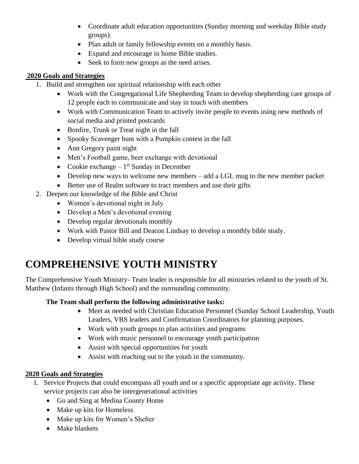- Coordinate adult education opportunities (Sunday morning and weekday Bible study groups).
- Plan adult or family fellowship events on a monthly basis.
- Expand and encourage in home Bible studies.
- Seek to form new groups as the need arises.

#### **2020 Goals and Strategies**

- 1. Build and strengthen our spiritual relationship with each other
	- Work with the Congregational Life Shepherding Team to develop shepherding care groups of 12 people each to communicate and stay in touch with members
	- Work with Communication Team to actively invite people to events using new methods of social media and printed postcards
	- Bonfire, Trunk or Treat night in the fall
	- Spooky Scavenger hunt with a Pumpkin contest in the fall
	- Ann Gregory paint night
	- Men's Football game, beer exchange with devotional
	- Cookie exchange  $-1<sup>st</sup>$  Sunday in December
	- Develop new ways to welcome new members add a LGL mug to the new member packet
	- Better use of Realm software to tract members and use their gifts
- 2. Deepen our knowledge of the Bible and Christ
	- Women's devotional night in July
	- Develop a Men's devotional evening
	- Develop regular devotionals monthly
	- Work with Pastor Bill and Deacon Lindsay to develop a monthly bible study.
	- Develop virtual bible study course

# **COMPREHENSIVE YOUTH MINISTRY**

The Comprehensive Youth Ministry- Team leader is responsible for all ministries related to the youth of St. Matthew (Infants through High School) and the surrounding community.

# **The Team shall perform the following administrative tasks:**

- Meet as needed with Christian Education Personnel (Sunday School Leadership, Youth Leaders, VBS leaders and Confirmation Coordinators for planning purposes.
- Work with youth groups to plan activities and programs
- Work with music personnel to encourage youth participation
- Assist with special opportunities for youth
- Assist with reaching out to the youth in the community.

# **2020 Goals and Strategies**

- 1. Service Projects that could encompass all youth and or a specific appropriate age activity. These service projects can also be intergenerational activities
	- Go and Sing at Medina County Home
	- Make up kits for Homeless
	- Make up kits for Women's Shelter
	- Make blankets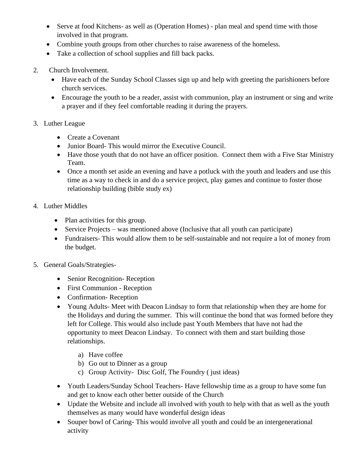- Serve at food Kitchens- as well as (Operation Homes) plan meal and spend time with those involved in that program.
- Combine youth groups from other churches to raise awareness of the homeless.
- Take a collection of school supplies and fill back packs.
- 2. Church Involvement.
	- Have each of the Sunday School Classes sign up and help with greeting the parishioners before church services.
	- Encourage the youth to be a reader, assist with communion, play an instrument or sing and write a prayer and if they feel comfortable reading it during the prayers.
- 3. Luther League
	- Create a Covenant
	- Junior Board- This would mirror the Executive Council.
	- Have those youth that do not have an officer position. Connect them with a Five Star Ministry Team.
	- Once a month set aside an evening and have a potluck with the youth and leaders and use this time as a way to check in and do a service project, play games and continue to foster those relationship building (bible study ex)
- 4. Luther Middles
	- Plan activities for this group.
	- Service Projects was mentioned above (Inclusive that all youth can participate)
	- Fundraisers- This would allow them to be self-sustainable and not require a lot of money from the budget.
- 5. General Goals/Strategies-
	- Senior Recognition-Reception
	- First Communion Reception
	- Confirmation- Reception
	- Young Adults- Meet with Deacon Lindsay to form that relationship when they are home for the Holidays and during the summer. This will continue the bond that was formed before they left for College. This would also include past Youth Members that have not had the opportunity to meet Deacon Lindsay. To connect with them and start building those relationships.
		- a) Have coffee
		- b) Go out to Dinner as a group
		- c) Group Activity- Disc Golf, The Foundry ( just ideas)
	- Youth Leaders/Sunday School Teachers- Have fellowship time as a group to have some fun and get to know each other better outside of the Church
	- Update the Website and include all involved with youth to help with that as well as the youth themselves as many would have wonderful design ideas
	- Souper bowl of Caring-This would involve all youth and could be an intergenerational activity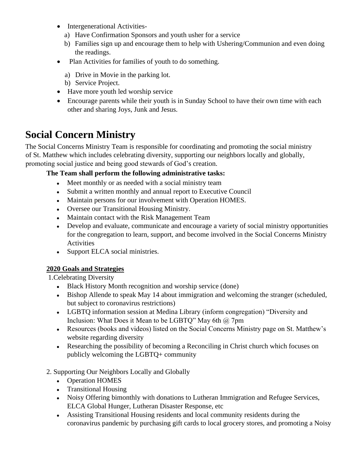- Intergenerational Activities
	- a) Have Confirmation Sponsors and youth usher for a service
	- b) Families sign up and encourage them to help with Ushering/Communion and even doing the readings.
- Plan Activities for families of youth to do something.
	- a) Drive in Movie in the parking lot.
	- b) Service Project.
- Have more youth led worship service
- Encourage parents while their youth is in Sunday School to have their own time with each other and sharing Joys, Junk and Jesus.

# **Social Concern Ministry**

The Social Concerns Ministry Team is responsible for coordinating and promoting the social ministry of St. Matthew which includes celebrating diversity, supporting our neighbors locally and globally, promoting social justice and being good stewards of God's creation.

# **The Team shall perform the following administrative tasks:**

- Meet monthly or as needed with a social ministry team
- Submit a written monthly and annual report to Executive Council
- Maintain persons for our involvement with Operation HOMES.
- Oversee our Transitional Housing Ministry.
- Maintain contact with the Risk Management Team
- Develop and evaluate, communicate and encourage a variety of social ministry opportunities for the congregation to learn, support, and become involved in the Social Concerns Ministry **Activities**
- Support ELCA social ministries.

# **2020 Goals and Strategies**

1.Celebrating Diversity

- Black History Month recognition and worship service (done)
- Bishop Allende to speak May 14 about immigration and welcoming the stranger (scheduled, but subject to coronavirus restrictions)
- LGBTQ information session at Medina Library (inform congregation) "Diversity and Inclusion: What Does it Mean to be LGBTQ" May 6th @ 7pm
- Resources (books and videos) listed on the Social Concerns Ministry page on St. Matthew's website regarding diversity
- Researching the possibility of becoming a Reconciling in Christ church which focuses on publicly welcoming the LGBTQ+ community

# 2. Supporting Our Neighbors Locally and Globally

- Operation HOMES
- Transitional Housing
- Noisy Offering bimonthly with donations to Lutheran Immigration and Refugee Services, ELCA Global Hunger, Lutheran Disaster Response, etc
- Assisting Transitional Housing residents and local community residents during the coronavirus pandemic by purchasing gift cards to local grocery stores, and promoting a Noisy